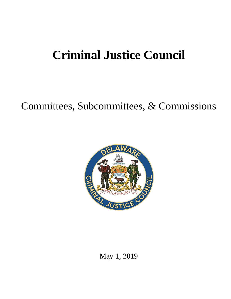# **Criminal Justice Council**

## Committees, Subcommittees, & Commissions



May 1, 2019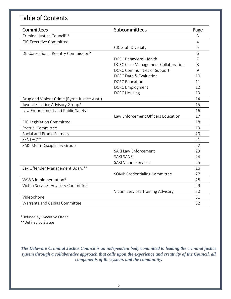#### Table of Contents

| Committees                                   | Subcommittees                             | Page           |
|----------------------------------------------|-------------------------------------------|----------------|
| Criminal Justice Council**                   |                                           | 3              |
| <b>CJC Executive Committee</b>               |                                           | $\overline{4}$ |
|                                              | CJC Staff Diversity                       | 5              |
| DE Correctional Reentry Commission*          |                                           | 6              |
|                                              | <b>DCRC Behavioral Health</b>             | 7              |
|                                              | <b>DCRC Case Management Collaboration</b> | 8              |
|                                              | <b>DCRC Communities of Support</b>        | 9              |
|                                              | <b>DCRC Data &amp; Evaluation</b>         | 10             |
|                                              | <b>DCRC</b> Education                     | 11             |
|                                              | <b>DCRC</b> Employment                    | 12             |
|                                              | <b>DCRC Housing</b>                       | 13             |
| Drug and Violent Crime (Byrne Justice Asst.) |                                           | 14             |
| Juvenile Justice Advisory Group*             |                                           | 15             |
| Law Enforcement and Public Safety            |                                           | 16             |
|                                              | Law Enforcement Officers Education        | 17             |
| CJC Legislation Committee                    |                                           | 18             |
| <b>Pretrial Committee</b>                    |                                           | 19             |
| Racial and Ethnic Fairness                   |                                           | 20             |
| SENTAC**                                     |                                           | 21             |
| <b>SAKI Multi-Disciplinary Group</b>         |                                           | 22             |
|                                              | <b>SAKI Law Enforcement</b>               | 23             |
|                                              | <b>SAKI SANE</b>                          | 24             |
|                                              | <b>SAKI Victim Services</b>               | 25             |
| Sex Offender Management Board**              |                                           | 26             |
|                                              | <b>SOMB Credentialing Committee</b>       | 27             |
| VAWA Implementation*                         |                                           | 28             |
| Victim Services Advisory Committee           |                                           | 29             |
|                                              | Victim Services Training Advisory         | 30             |
| Videophone                                   |                                           | 31             |
| Warrants and Capias Committee                |                                           | 32             |

\*Defined by Executive Order

\*\*Defined by Statue

*The Delaware Criminal Justice Council is an independent body committed to leading the criminal justice system through a collaborative approach that calls upon the experience and creativity of the Council, all components of the system, and the community.*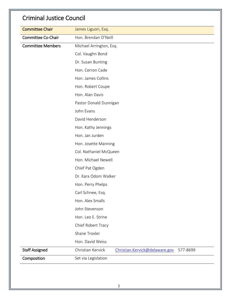#### Criminal Justice Council

| <b>Committee Chair</b>   | James Liguori, Esq.                                             |
|--------------------------|-----------------------------------------------------------------|
| Committee Co-Chair       | Hon. Brendan O'Neill                                            |
| <b>Committee Members</b> | Michael Arrington, Esq.                                         |
|                          | Col. Vaughn Bond                                                |
|                          | Dr. Susan Bunting                                               |
|                          | Hon. Cerron Cade                                                |
|                          | Hon. James Collins                                              |
|                          | Hon. Robert Coupe                                               |
|                          | Hon. Alan Davis                                                 |
|                          | Pastor Donald Dunnigan                                          |
|                          | John Evans                                                      |
|                          | David Henderson                                                 |
|                          | Hon. Kathy Jennings                                             |
|                          | Hon. Jan Jurden                                                 |
|                          | Hon. Josette Manning                                            |
|                          | Col. Nathaniel McQueen                                          |
|                          | Hon. Michael Newell                                             |
|                          | Chief Pat Ogden                                                 |
|                          | Dr. Kara Odom Walker                                            |
|                          | Hon. Perry Phelps                                               |
|                          | Carl Schnee, Esq.                                               |
|                          | Hon. Alex Smalls                                                |
|                          | John Stevenson                                                  |
|                          | Hon. Leo E. Strine                                              |
|                          | Chief Robert Tracy                                              |
|                          | Shane Troxler                                                   |
|                          | Hon. David Weiss                                                |
| <b>Staff Assigned</b>    | Christian Kervick<br>Christian.Kervick@delaware.gov<br>577-8699 |
| Composition              | Set via Legislation                                             |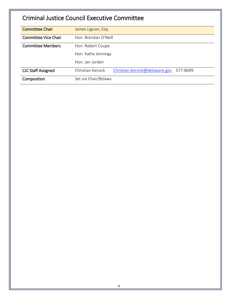## Criminal Justice Council Executive Committee

| <b>Committee Chair</b>      | James Liguori, Esq.                                             |
|-----------------------------|-----------------------------------------------------------------|
|                             |                                                                 |
| <b>Committee Vice Chair</b> | Hon. Brendan O'Neill                                            |
| <b>Committee Members</b>    | Hon. Robert Coupe                                               |
|                             | Hon. Kathy Jennings                                             |
|                             | Hon. Jan Jurden                                                 |
| <b>CJC Staff Assigned</b>   | Christian Kervick<br>Christian.Kervick@delaware.gov<br>577-8699 |
| Composition                 | Set via Chair/Bylaws                                            |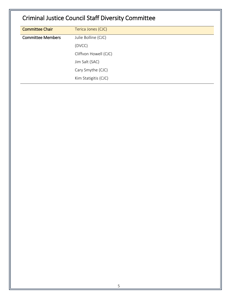## Criminal Justice Council Staff Diversity Committee

| <b>Committee Chair</b>   | Terica Jones (CJC)    |
|--------------------------|-----------------------|
| <b>Committee Members</b> | Julie Bolline (CJC)   |
|                          | (DVCC)                |
|                          | Cliffvon Howell (CJC) |
|                          | Jim Salt (SAC)        |
|                          | Cary Smythe (CJC)     |
|                          | Kim Statigitis (CJC)  |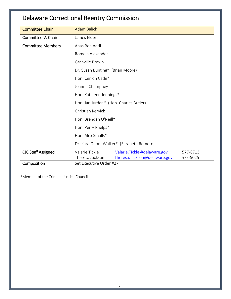| <b>Delaware Correctional Reentry Commission</b> |  |
|-------------------------------------------------|--|
|-------------------------------------------------|--|

| <b>Committee Chair</b>    | <b>Adam Balick</b>                                                                   |  |  |
|---------------------------|--------------------------------------------------------------------------------------|--|--|
| Committee V. Chair        | James Elder                                                                          |  |  |
| <b>Committee Members</b>  | Anas Ben Addi                                                                        |  |  |
|                           | Romain Alexander                                                                     |  |  |
|                           | Granville Brown                                                                      |  |  |
|                           | Dr. Susan Bunting* (Brian Moore)                                                     |  |  |
|                           | Hon. Cerron Cade*                                                                    |  |  |
|                           | Joanna Champney                                                                      |  |  |
|                           | Hon. Kathleen Jennings*                                                              |  |  |
|                           | Hon. Jan Jurden* (Hon. Charles Butler)<br>Christian Kervick<br>Hon. Brendan O'Neill* |  |  |
|                           |                                                                                      |  |  |
|                           |                                                                                      |  |  |
|                           | Hon. Perry Phelps*                                                                   |  |  |
|                           | Hon. Alex Smalls*                                                                    |  |  |
|                           | Dr. Kara Odom Walker* (Elizabeth Romero)                                             |  |  |
| <b>CJC Staff Assigned</b> | Valarie Tickle<br>Valarie.Tickle@delaware.gov<br>577-8713                            |  |  |
|                           | Theresa Jackson<br>Theresa.Jackson@delaware.gov<br>577-5025                          |  |  |
| Composition               | Set Executive Order #27                                                              |  |  |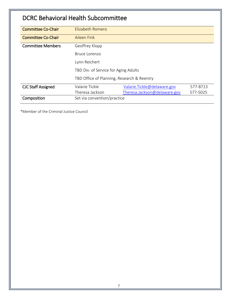#### DCRC Behavioral Health Subcommittee

| <b>Committee Co-Chair</b> | Elizabeth Romero                           |                              |          |
|---------------------------|--------------------------------------------|------------------------------|----------|
| <b>Committee Co-Chair</b> | Aileen Fink                                |                              |          |
| <b>Committee Members</b>  | Geoffrey Klopp                             |                              |          |
|                           | Bruce Lorenzo                              |                              |          |
|                           | Lynn Reichert                              |                              |          |
|                           | TBD Div. of Service for Aging Adults       |                              |          |
|                           | TBD Office of Planning, Research & Reentry |                              |          |
| <b>CJC Staff Assigned</b> | Valarie Tickle                             | Valarie. Tickle@delaware.gov | 577-8713 |
|                           | Theresa Jackson                            | Theresa.Jackson@delaware.gov | 577-5025 |
| Composition               | Set via convention/practice                |                              |          |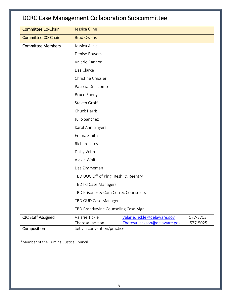| <b>DCRC Case Management Collaboration Subcommittee</b> |                                      |                                                              |                      |  |  |
|--------------------------------------------------------|--------------------------------------|--------------------------------------------------------------|----------------------|--|--|
| <b>Committee Co-Chair</b>                              | Jessica Cline                        |                                                              |                      |  |  |
| <b>Committee CO-Chair</b>                              | <b>Brad Owens</b>                    |                                                              |                      |  |  |
| <b>Committee Members</b>                               | Jessica Alicia                       |                                                              |                      |  |  |
|                                                        | <b>Denise Bowers</b>                 |                                                              |                      |  |  |
|                                                        | Valerie Cannon                       |                                                              |                      |  |  |
|                                                        | Lisa Clarke                          |                                                              |                      |  |  |
|                                                        | Christine Cressler                   |                                                              |                      |  |  |
|                                                        | Patricia DiJiacomo                   |                                                              |                      |  |  |
|                                                        | <b>Bruce Eberly</b>                  |                                                              |                      |  |  |
|                                                        | Steven Groff                         |                                                              |                      |  |  |
|                                                        | Chuck Harris                         |                                                              |                      |  |  |
|                                                        | Julio Sanchez                        |                                                              |                      |  |  |
|                                                        | Karol Ann Shyers                     |                                                              |                      |  |  |
|                                                        | Emma Smith                           |                                                              |                      |  |  |
|                                                        | Richard Urey                         |                                                              |                      |  |  |
|                                                        | Daisy Veith                          |                                                              |                      |  |  |
|                                                        | Alexia Wolf                          |                                                              |                      |  |  |
|                                                        | Lisa Zimmeman                        |                                                              |                      |  |  |
|                                                        | TBD DOC Off of Plng, Resh, & Reentry |                                                              |                      |  |  |
|                                                        | TBD IRI Case Managers                |                                                              |                      |  |  |
|                                                        | TBD Prisoner & Com Correc Counselors |                                                              |                      |  |  |
|                                                        | TBD OUD Case Managers                |                                                              |                      |  |  |
|                                                        | TBD Brandywine Counseling Case Mgr   |                                                              |                      |  |  |
| <b>CJC Staff Assigned</b>                              | Valarie Tickle<br>Theresa Jackson    | Valarie. Tickle@delaware.gov<br>Theresa.Jackson@delaware.gov | 577-8713<br>577-5025 |  |  |
| Composition                                            | Set via convention/practice          |                                                              |                      |  |  |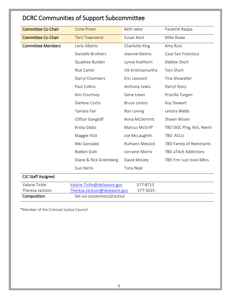## DCRC Communities of Support Subcommittee

| <b>Committee Co-Chair</b>         | <b>Corie Priest</b>                                          | Beth Jeker             | Paulette Rappa           |
|-----------------------------------|--------------------------------------------------------------|------------------------|--------------------------|
| <b>Committee Co-Chair</b>         | <b>Terri Townsend</b>                                        | Susan Kent             | Mike Rowe                |
| <b>Committee Members</b>          | Lorie Alberts                                                | Charlotte King         | Amy Rust                 |
|                                   | Danielle Brothers                                            | Jeannie Kleimo         | Case San Francisco       |
|                                   | Quadree Burden                                               | Lynne Koelhorn         | Debbie Short             |
|                                   | <b>Rick Carter</b>                                           | Vik Krishnamurthy      | Toni Short               |
|                                   | Darryl Chambers                                              | Eric Leonard           | Tina Showalter           |
|                                   | Paul Collins                                                 | Anthony Lewis          | Darryl Story             |
|                                   | Kim Courtney                                                 | Gene Lewis             | Priscilla Turgon         |
|                                   | Darlene Curtis                                               | <b>Bruce Lorenz</b>    | Koy Stewart              |
|                                   | Tamara Fair                                                  | Ron Loving             | Lenora Webb              |
|                                   | Clifton Gangloff                                             | Anna McDermitt         | Shawn Wister             |
|                                   | Kristy Gibbs                                                 | Marcus McGriff         | TBD DOC Plng, Rsh, Reent |
|                                   | Maggie Flick                                                 | Joe McLaughlin         | TBD ACLU                 |
|                                   | Niki Gonzalez                                                | <b>Ruthann Messick</b> | TBD Family of Reentrants |
|                                   | Robbin Gott                                                  | Lorraine Morris        | TBD aTAcK Addictions     |
|                                   | Diane & Rick Greenberg                                       | David Mosley           | TBD Fmr Just Invol Mbrs  |
|                                   | Sue Harris                                                   | <b>Tony Neal</b>       |                          |
| <b>CJC Staff Assigned</b>         |                                                              |                        |                          |
| Valarie Tickle<br>Theresa Jackson | Valarie. Tickle@delaware.gov<br>Theresa.Jackson@delaware.gov | 577-8713<br>577-5025   |                          |
| Composition                       | Set via convention/practice                                  |                        |                          |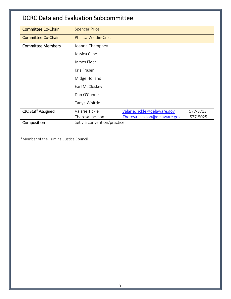#### DCRC Data and Evaluation Subcommittee

| <b>Committee Co-Chair</b> | <b>Spencer Price</b>        |                              |          |
|---------------------------|-----------------------------|------------------------------|----------|
| <b>Committee Co-Chair</b> | Phillisa Weldin-Crist       |                              |          |
| <b>Committee Members</b>  | Joanna Champney             |                              |          |
|                           | Jessica Cline               |                              |          |
|                           | James Elder                 |                              |          |
|                           | Kris Fraser                 |                              |          |
|                           | Midge Holland               |                              |          |
|                           | Earl McCloskey              |                              |          |
|                           | Dan O'Connell               |                              |          |
|                           | Tanya Whittle               |                              |          |
| <b>CJC Staff Assigned</b> | Valarie Tickle              | Valarie. Tickle@delaware.gov | 577-8713 |
|                           | Theresa Jackson             | Theresa.Jackson@delaware.gov | 577-5025 |
| Composition               | Set via convention/practice |                              |          |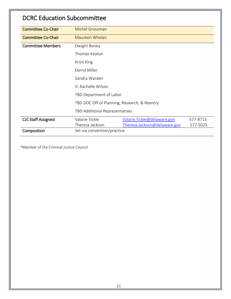#### DCRC Education Subcommittee

| <b>Committee Co-Chair</b> | <b>Michel Grossman</b>                       |                              |          |
|---------------------------|----------------------------------------------|------------------------------|----------|
| <b>Committee Co-Chair</b> | Maureen Whelan                               |                              |          |
| <b>Committee Members</b>  | Dwight Boney                                 |                              |          |
|                           | Thomas Keaton                                |                              |          |
|                           | Kristi King                                  |                              |          |
|                           | Darryl Miller                                |                              |          |
|                           | Sandra Warden                                |                              |          |
|                           | V. Rachelle Wilson                           |                              |          |
|                           | TBD Department of Labor                      |                              |          |
|                           | TBD DOC Off of Planning, Research, & Reentry |                              |          |
|                           | TBD Additional Representatives               |                              |          |
| <b>CJC Staff Assigned</b> | Valarie Tickle                               | Valarie. Tickle@delaware.gov | 577-8713 |
|                           | Theresa Jackson                              | Theresa.Jackson@delaware.gov | 577-5025 |
| Composition               | Set via convention/practice                  |                              |          |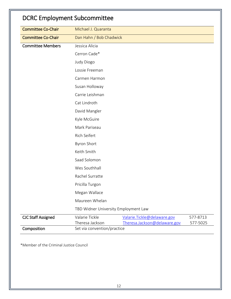| <b>DCRC Employment Subcommittee</b> |                                      |                                                              |                      |
|-------------------------------------|--------------------------------------|--------------------------------------------------------------|----------------------|
| <b>Committee Co-Chair</b>           | Michael J. Quaranta                  |                                                              |                      |
| <b>Committee Co-Chair</b>           | Dan Hahn / Bob Chadwick              |                                                              |                      |
| <b>Committee Members</b>            | Jessica Alicia                       |                                                              |                      |
|                                     | Cerron Cade*                         |                                                              |                      |
|                                     | Judy Diogo                           |                                                              |                      |
|                                     | Lossie Freeman                       |                                                              |                      |
|                                     | Carmen Harmon                        |                                                              |                      |
|                                     | Susan Holloway                       |                                                              |                      |
|                                     | Carrie Leishman                      |                                                              |                      |
|                                     | Cat Lindroth                         |                                                              |                      |
|                                     | David Mangler                        |                                                              |                      |
|                                     | Kyle McGuire                         |                                                              |                      |
|                                     | Mark Pariseau                        |                                                              |                      |
|                                     | <b>Rich Seifert</b>                  |                                                              |                      |
|                                     | <b>Byron Short</b>                   |                                                              |                      |
|                                     | Keith Smith                          |                                                              |                      |
|                                     | Saad Solomon                         |                                                              |                      |
|                                     | Wes Southhall                        |                                                              |                      |
|                                     | Rachel Surratte                      |                                                              |                      |
|                                     | Pricilla Turgon                      |                                                              |                      |
|                                     | Megan Wallace                        |                                                              |                      |
|                                     | Maureen Whelan                       |                                                              |                      |
|                                     | TBD Widner University Employment Law |                                                              |                      |
| <b>CJC Staff Assigned</b>           | Valarie Tickle<br>Theresa Jackson    | Valarie. Tickle@delaware.gov<br>Theresa.Jackson@delaware.gov | 577-8713<br>577-5025 |
| Composition                         | Set via convention/practice          |                                                              |                      |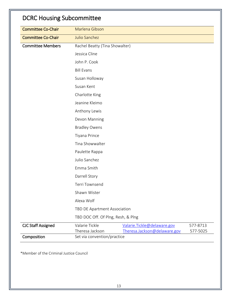## DCRC Housing Subcommittee

| <b>Committee Co-Chair</b> | Marlena Gibson                                                                                     |                              |          |  |  |  |
|---------------------------|----------------------------------------------------------------------------------------------------|------------------------------|----------|--|--|--|
| <b>Committee Co-Chair</b> | Julio Sanchez                                                                                      |                              |          |  |  |  |
| <b>Committee Members</b>  | Rachel Beatty (Tina Showalter)                                                                     |                              |          |  |  |  |
|                           | Jessica Cline                                                                                      |                              |          |  |  |  |
|                           | John P. Cook                                                                                       |                              |          |  |  |  |
|                           | <b>Bill Evans</b>                                                                                  |                              |          |  |  |  |
|                           | Susan Holloway                                                                                     |                              |          |  |  |  |
|                           | Susan Kent                                                                                         |                              |          |  |  |  |
|                           | Charlotte King                                                                                     |                              |          |  |  |  |
|                           | Jeanine Kleimo                                                                                     |                              |          |  |  |  |
|                           | Anthony Lewis                                                                                      |                              |          |  |  |  |
|                           | Devon Manning<br><b>Bradley Owens</b>                                                              |                              |          |  |  |  |
|                           |                                                                                                    |                              |          |  |  |  |
|                           | Tiyana Prince<br>Tina Showwalter<br>Paulette Rappa<br>Julio Sanchez<br>Emma Smith<br>Darrell Story |                              |          |  |  |  |
|                           |                                                                                                    |                              |          |  |  |  |
|                           |                                                                                                    |                              |          |  |  |  |
|                           |                                                                                                    |                              |          |  |  |  |
|                           |                                                                                                    |                              |          |  |  |  |
|                           |                                                                                                    |                              |          |  |  |  |
|                           | Terri Townsend                                                                                     |                              |          |  |  |  |
|                           | Shawn Wister                                                                                       |                              |          |  |  |  |
|                           | Alexa Wolf                                                                                         |                              |          |  |  |  |
|                           | TBD DE Apartment Association                                                                       |                              |          |  |  |  |
|                           | TBD DOC Off. Of Plng, Resh, & Plng                                                                 |                              |          |  |  |  |
| <b>CJC Staff Assigned</b> | Valarie Tickle                                                                                     | Valarie. Tickle@delaware.gov | 577-8713 |  |  |  |
| Composition               | Theresa Jackson<br>Set via convention/practice                                                     | Theresa.Jackson@delaware.gov | 577-5025 |  |  |  |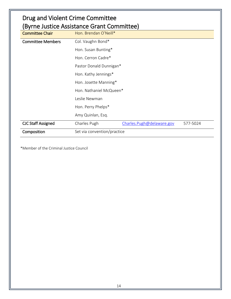| Drug and Violent Crime Committee<br>(Byrne Justice Assistance Grant Committee) |                             |                           |          |  |
|--------------------------------------------------------------------------------|-----------------------------|---------------------------|----------|--|
| <b>Committee Chair</b>                                                         | Hon. Brendan O'Neill*       |                           |          |  |
| <b>Committee Members</b>                                                       | Col. Vaughn Bond*           |                           |          |  |
|                                                                                | Hon. Susan Bunting*         |                           |          |  |
|                                                                                | Hon. Cerron Cadre*          |                           |          |  |
|                                                                                | Pastor Donald Dunnigan*     |                           |          |  |
|                                                                                | Hon. Kathy Jennings*        |                           |          |  |
|                                                                                | Hon. Josette Manning*       |                           |          |  |
|                                                                                | Hon. Nathaniel McQueen*     |                           |          |  |
|                                                                                | Leslie Newman               |                           |          |  |
|                                                                                | Hon. Perry Phelps*          |                           |          |  |
|                                                                                | Amy Quinlan, Esq.           |                           |          |  |
| <b>CJC Staff Assigned</b>                                                      | Charles Pugh                | Charles.Pugh@delaware.gov | 577-5024 |  |
| Composition                                                                    | Set via convention/practice |                           |          |  |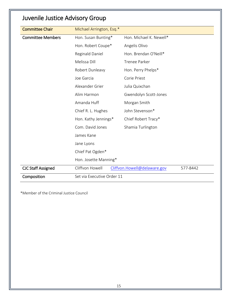#### Juvenile Justice Advisory Group

| <b>Committee Chair</b>    | Michael Arrington, Esq.*   |                              |          |  |
|---------------------------|----------------------------|------------------------------|----------|--|
| <b>Committee Members</b>  | Hon. Susan Bunting*        | Hon. Michael K. Newell*      |          |  |
|                           | Hon. Robert Coupe*         | Angelis Olivo                |          |  |
|                           | Reginald Daniel            | Hon. Brendan O'Neill*        |          |  |
|                           | Melissa Dill               | <b>Trenee Parker</b>         |          |  |
|                           | Robert Dunleavy            | Hon. Perry Phelps*           |          |  |
|                           | Joe Garcia                 | Corie Priest                 |          |  |
|                           | Alexander Grier            | Julia Quixchan               |          |  |
|                           | Alim Harmon                | Gwendolyn Scott-Jones        |          |  |
|                           | Amanda Huff                | Morgan Smith                 |          |  |
|                           | Chief R. L. Hughes         | John Stevenson*              |          |  |
|                           | Hon. Kathy Jennings*       | Chief Robert Tracy*          |          |  |
|                           | Com. David Jones           | Shamia Turlington            |          |  |
|                           | James Kane                 |                              |          |  |
|                           | Jane Lyons                 |                              |          |  |
|                           | Chief Pat Ogden*           |                              |          |  |
|                           | Hon. Josette Manning*      |                              |          |  |
| <b>CJC Staff Assigned</b> | Cliffvon Howell            | Cliffvon.Howell@delaware.gov | 577-8442 |  |
| Composition               | Set via Executive Order 11 |                              |          |  |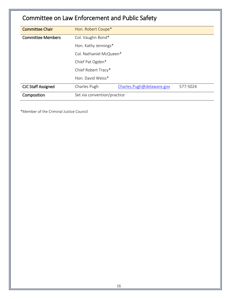## Committee on Law Enforcement and Public Safety

| <b>Committee Chair</b>    | Hon. Robert Coupe*          |                           |          |
|---------------------------|-----------------------------|---------------------------|----------|
| <b>Committee Members</b>  | Col. Vaughn Bond*           |                           |          |
|                           | Hon. Kathy Jennings*        |                           |          |
|                           | Col. Nathaniel McQueen*     |                           |          |
|                           | Chief Pat Ogden*            |                           |          |
|                           | Chief Robert Tracy*         |                           |          |
|                           | Hon. David Weiss*           |                           |          |
| <b>CJC Staff Assigned</b> | Charles Pugh                | Charles.Pugh@delaware.gov | 577-5024 |
| Composition               | Set via convention/practice |                           |          |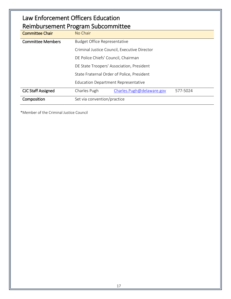#### Law Enforcement Officers Education Reimbursement Program Subcommittee

| <b>Committee Chair</b>    | No Chair                                              |  |  |  |
|---------------------------|-------------------------------------------------------|--|--|--|
| <b>Committee Members</b>  | <b>Budget Office Representative</b>                   |  |  |  |
|                           | Criminal Justice Council, Executive Director          |  |  |  |
|                           | DE Police Chiefs' Council, Chairman                   |  |  |  |
|                           | DE State Troopers' Association, President             |  |  |  |
|                           | State Fraternal Order of Police, President            |  |  |  |
|                           | <b>Education Department Representative</b>            |  |  |  |
| <b>CJC Staff Assigned</b> | Charles Pugh<br>Charles.Pugh@delaware.gov<br>577-5024 |  |  |  |
| Composition               | Set via convention/practice                           |  |  |  |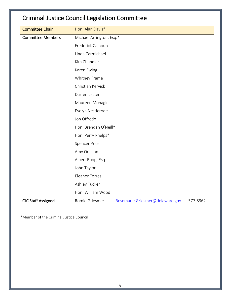## Criminal Justice Council Legislation Committee

| <b>Committee Chair</b>    | Hon. Alan Davis*         |                                 |          |
|---------------------------|--------------------------|---------------------------------|----------|
| <b>Committee Members</b>  | Michael Arrington, Esq.* |                                 |          |
|                           | Frederick Calhoun        |                                 |          |
|                           |                          |                                 |          |
|                           | Linda Carmichael         |                                 |          |
|                           | Kim Chandler             |                                 |          |
|                           | Karen Ewing              |                                 |          |
|                           | Whitney Frame            |                                 |          |
|                           | Christian Kervick        |                                 |          |
|                           | Darren Lester            |                                 |          |
|                           | Maureen Monagle          |                                 |          |
|                           | Evelyn Nestlerode        |                                 |          |
|                           | Jon Offredo              |                                 |          |
|                           | Hon. Brendan O'Neill*    |                                 |          |
|                           | Hon. Perry Phelps*       |                                 |          |
|                           | <b>Spencer Price</b>     |                                 |          |
|                           | Amy Quinlan              |                                 |          |
|                           | Albert Roop, Esq.        |                                 |          |
|                           | John Taylor              |                                 |          |
|                           | <b>Eleanor Torres</b>    |                                 |          |
|                           | Ashley Tucker            |                                 |          |
|                           | Hon. William Wood        |                                 |          |
| <b>CJC Staff Assigned</b> | Romie Griesmer           | Rosemarie.Griesmer@delaware.gov | 577-8962 |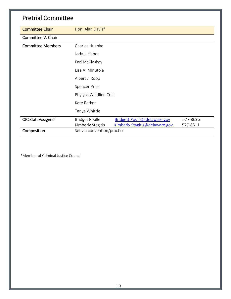| <b>Pretrial Committee</b> |                                            |                                                                |                      |
|---------------------------|--------------------------------------------|----------------------------------------------------------------|----------------------|
| <b>Committee Chair</b>    | Hon. Alan Davis*                           |                                                                |                      |
| Committee V. Chair        |                                            |                                                                |                      |
| <b>Committee Members</b>  | Charles Huenke                             |                                                                |                      |
|                           | Jody J. Huber                              |                                                                |                      |
|                           | Earl McCloskey                             |                                                                |                      |
|                           | Lisa A. Minutola                           |                                                                |                      |
|                           | Albert J. Roop                             |                                                                |                      |
|                           | <b>Spencer Price</b>                       |                                                                |                      |
|                           | Phylysa Weidlien Crist                     |                                                                |                      |
|                           | Kate Parker                                |                                                                |                      |
|                           | Tanya Whittle                              |                                                                |                      |
| <b>CJC Staff Assigned</b> | <b>Bridget Poulle</b><br>Kimberly Stagitis | Bridgett.Poulle@delaware.gov<br>Kimberly.Stagitis@delaware.gov | 577-8696<br>577-8811 |
| Composition               | Set via convention/practice                |                                                                |                      |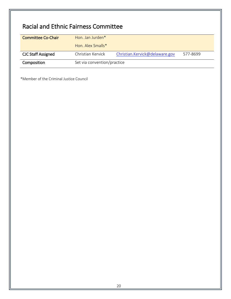## Racial and Ethnic Fairness Committee

| <b>Committee Co-Chair</b> | Hon. Jan Jurden*            |                                |          |
|---------------------------|-----------------------------|--------------------------------|----------|
|                           | Hon. Alex Smalls*           |                                |          |
| <b>CJC Staff Assigned</b> | Christian Kervick           | Christian.Kervick@delaware.gov | 577-8699 |
| Composition               | Set via convention/practice |                                |          |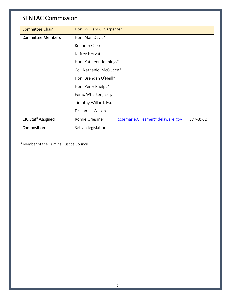#### SENTAC Commission

| <b>Committee Chair</b>    | Hon. William C. Carpenter                                     |  |  |  |
|---------------------------|---------------------------------------------------------------|--|--|--|
| <b>Committee Members</b>  | Hon. Alan Davis*                                              |  |  |  |
|                           | Kenneth Clark                                                 |  |  |  |
|                           | Jeffrey Horvath                                               |  |  |  |
|                           | Hon. Kathleen Jennings*                                       |  |  |  |
|                           | Col. Nathaniel McQueen*                                       |  |  |  |
|                           | Hon. Brendan O'Neill*                                         |  |  |  |
|                           | Hon. Perry Phelps*                                            |  |  |  |
|                           | Ferris Wharton, Esq.                                          |  |  |  |
|                           | Timothy Willard, Esq.                                         |  |  |  |
|                           | Dr. James Wilson                                              |  |  |  |
| <b>CJC Staff Assigned</b> | Rosemarie.Griesmer@delaware.gov<br>Romie Griesmer<br>577-8962 |  |  |  |
| Composition               | Set via legislation                                           |  |  |  |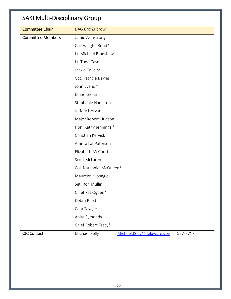## SAKI Multi-Disciplinary Group

| <b>Committee Chair</b>   | <b>DAG Eric Zubrow</b>                                                                                        |  |  |  |                 |                         |  |  |  |
|--------------------------|---------------------------------------------------------------------------------------------------------------|--|--|--|-----------------|-------------------------|--|--|--|
| <b>Committee Members</b> | Jamie Armstrong                                                                                               |  |  |  |                 |                         |  |  |  |
|                          | Col. Vaughn Bond*                                                                                             |  |  |  |                 |                         |  |  |  |
|                          | Lt. Michael Bradshaw                                                                                          |  |  |  |                 |                         |  |  |  |
|                          | Lt. Todd Case                                                                                                 |  |  |  |                 |                         |  |  |  |
|                          | Jackie Cousins                                                                                                |  |  |  |                 |                         |  |  |  |
|                          | Cpt. Patricia Davies                                                                                          |  |  |  |                 |                         |  |  |  |
|                          | John Evans *                                                                                                  |  |  |  |                 |                         |  |  |  |
|                          | Diane Glenn                                                                                                   |  |  |  |                 |                         |  |  |  |
|                          | Stephanie Hamilton                                                                                            |  |  |  |                 |                         |  |  |  |
|                          | Jeffery Horvath                                                                                               |  |  |  |                 |                         |  |  |  |
|                          | Major Robert Hudson<br>Hon. Kathy Jennings *<br>Christian Kervick<br>Amrita Lal-Paterson<br>Elizabeth McCourt |  |  |  |                 |                         |  |  |  |
|                          |                                                                                                               |  |  |  |                 |                         |  |  |  |
|                          |                                                                                                               |  |  |  |                 | Scott McLaren           |  |  |  |
|                          |                                                                                                               |  |  |  |                 | Col. Nathaniel McQueen* |  |  |  |
|                          |                                                                                                               |  |  |  | Maureen Monagle |                         |  |  |  |
|                          | Sgt. Ron Mullin                                                                                               |  |  |  |                 |                         |  |  |  |
|                          | Chief Pat Ogden*                                                                                              |  |  |  |                 |                         |  |  |  |
|                          | Debra Reed                                                                                                    |  |  |  |                 |                         |  |  |  |
|                          | Cara Sawyer                                                                                                   |  |  |  |                 |                         |  |  |  |
|                          | Anita Symonds                                                                                                 |  |  |  |                 |                         |  |  |  |
|                          | Chief Robert Tracy*                                                                                           |  |  |  |                 |                         |  |  |  |
| <b>CJC Contact</b>       | Michael Kelly<br>Michael.Kelly@delaware.gov<br>577-8717                                                       |  |  |  |                 |                         |  |  |  |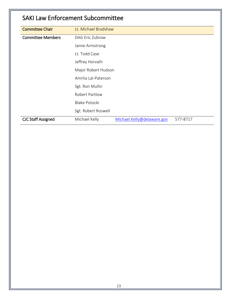#### SAKI Law Enforcement Subcommittee

| <b>Committee Chair</b>    | Lt. Michael Bradshaw                                    |  |  |  |
|---------------------------|---------------------------------------------------------|--|--|--|
| <b>Committee Members</b>  | DAG Eric Zubrow                                         |  |  |  |
|                           | Jamie Armstrong                                         |  |  |  |
|                           | Lt. Todd Case                                           |  |  |  |
|                           | Jeffrey Horvath                                         |  |  |  |
|                           | Major Robert Hudson                                     |  |  |  |
|                           | Amrita Lal-Paterson                                     |  |  |  |
|                           | Sgt. Ron Mullin                                         |  |  |  |
|                           | <b>Robert Partlow</b>                                   |  |  |  |
|                           | <b>Blake Potocki</b>                                    |  |  |  |
|                           | Sgt. Robert Roswell                                     |  |  |  |
| <b>CJC Staff Assigned</b> | Michael.Kelly@delaware.gov<br>Michael Kelly<br>577-8717 |  |  |  |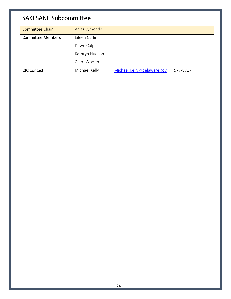## SAKI SANE Subcommittee

| <b>Committee Chair</b>   | Anita Symonds  |                            |          |
|--------------------------|----------------|----------------------------|----------|
| <b>Committee Members</b> | Eileen Carlin  |                            |          |
|                          | Dawn Culp      |                            |          |
|                          | Kathryn Hudson |                            |          |
|                          | Cheri Wooters  |                            |          |
| <b>CJC Contact</b>       | Michael Kelly  | Michael.Kelly@delaware.gov | 577-8717 |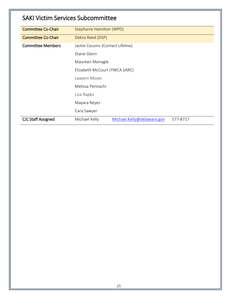#### SAKI Victim Services Subcommittee

| <b>Committee Co-Chair</b> | Stephanie Hamilton (WPD)                                |  |  |  |
|---------------------------|---------------------------------------------------------|--|--|--|
| <b>Committee Co-Chair</b> | Debra Reed (DSP)                                        |  |  |  |
| <b>Committee Members</b>  | Jackie Cousins (Contact Lifeline)                       |  |  |  |
|                           | Diane Glenn                                             |  |  |  |
|                           | Maureen Monagle                                         |  |  |  |
|                           | Elizabeth McCourt (YWCA SARC)                           |  |  |  |
|                           | Lawann Moses                                            |  |  |  |
|                           | Melissa Pennachi                                        |  |  |  |
|                           | Lisa Rapko                                              |  |  |  |
|                           | Mayara Reyes                                            |  |  |  |
|                           | Cara Sawyer                                             |  |  |  |
| <b>CJC Staff Assigned</b> | Michael Kelly<br>Michael.Kelly@delaware.gov<br>577-8717 |  |  |  |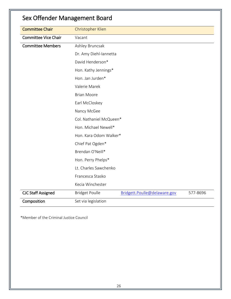| <b>Committee Chair</b>      | Christopher Klien       |                              |          |  |  |
|-----------------------------|-------------------------|------------------------------|----------|--|--|
| <b>Committee Vice Chair</b> | Vacant                  |                              |          |  |  |
| <b>Committee Members</b>    | Ashley Bruncsak         |                              |          |  |  |
|                             | Dr. Amy Diehl-Iannetta  |                              |          |  |  |
|                             | David Henderson*        |                              |          |  |  |
|                             | Hon. Kathy Jennings*    |                              |          |  |  |
|                             | Hon. Jan Jurden*        |                              |          |  |  |
|                             | Valerie Marek           |                              |          |  |  |
|                             | <b>Brian Moore</b>      |                              |          |  |  |
|                             | Earl McCloskey          |                              |          |  |  |
|                             | Nancy McGee             |                              |          |  |  |
|                             | Col. Nathaniel McQueen* |                              |          |  |  |
|                             |                         | Hon. Michael Newell*         |          |  |  |
|                             | Hon. Kara Odom Walker*  |                              |          |  |  |
|                             | Chief Pat Ogden*        |                              |          |  |  |
|                             | Brendan O'Neill*        |                              |          |  |  |
|                             | Hon. Perry Phelps*      |                              |          |  |  |
|                             | Lt. Charles Sawchenko   |                              |          |  |  |
|                             | Francesca Stasko        |                              |          |  |  |
|                             | Kecia Winchester        |                              |          |  |  |
| <b>CJC Staff Assigned</b>   | <b>Bridget Poulle</b>   | Bridgett.Poulle@delaware.gov | 577-8696 |  |  |
| Composition                 | Set via legislation     |                              |          |  |  |

#### Sex Offender Management Board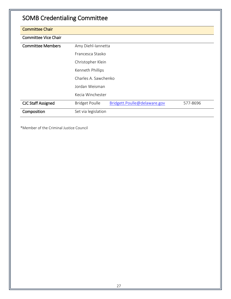## SOMB Credentialing Committee

| <b>Committee Chair</b>      |                                                                   |
|-----------------------------|-------------------------------------------------------------------|
| <b>Committee Vice Chair</b> |                                                                   |
| <b>Committee Members</b>    | Amy Diehl-Iannetta                                                |
|                             | Erancesca Stasko                                                  |
|                             | Christopher Klein                                                 |
|                             | Kenneth Phillips                                                  |
|                             | Charles A. Sawchenko                                              |
|                             | Jordan Weisman                                                    |
|                             | Kecia Winchester                                                  |
| <b>CJC Staff Assigned</b>   | Bridgett.Poulle@delaware.gov<br><b>Bridget Poulle</b><br>577-8696 |
| Composition                 | Set via legislation                                               |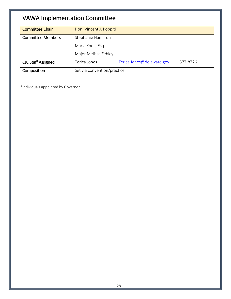## VAWA Implementation Committee

| <b>Committee Chair</b>    | Hon. Vincent J. Poppiti     |                           |          |
|---------------------------|-----------------------------|---------------------------|----------|
| <b>Committee Members</b>  | Stephanie Hamilton          |                           |          |
|                           | Maria Knoll, Esq.           |                           |          |
|                           | Major Melissa Zebley        |                           |          |
| <b>CJC Staff Assigned</b> | Terica Jones                | Terica.Jones@delaware.gov | 577-8726 |
| Composition               | Set via convention/practice |                           |          |

\*Individuals appointed by Governor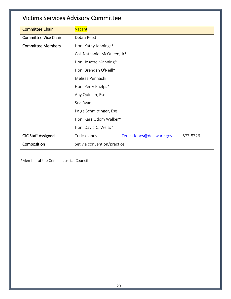| <b>Committee Chair</b>      | Vacant                                                |
|-----------------------------|-------------------------------------------------------|
| <b>Committee Vice Chair</b> | Debra Reed                                            |
| <b>Committee Members</b>    | Hon. Kathy Jennings*                                  |
|                             | Col. Nathaniel McQueen, Jr*                           |
|                             | Hon. Josette Manning*                                 |
|                             | Hon. Brendan O'Neill*                                 |
|                             | Melissa Pennachi                                      |
|                             | Hon. Perry Phelps*                                    |
|                             | Any Quinlan, Esq.                                     |
|                             | Sue Ryan                                              |
|                             | Paige Schmittinger, Esq.                              |
|                             | Hon. Kara Odom Walker*                                |
|                             | Hon. David C. Weiss*                                  |
| <b>CJC Staff Assigned</b>   | Terica Jones<br>Terica.Jones@delaware.gov<br>577-8726 |
| Composition                 | Set via convention/practice                           |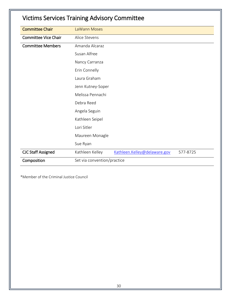| <b>Victims Services Training Advisory Committee</b> |                             |                              |          |
|-----------------------------------------------------|-----------------------------|------------------------------|----------|
| <b>Committee Chair</b>                              | LaWann Moses                |                              |          |
| <b>Committee Vice Chair</b>                         | Alice Stevens               |                              |          |
| <b>Committee Members</b>                            | Amanda Alcaraz              |                              |          |
|                                                     | Susan Alfree                |                              |          |
|                                                     | Nancy Carranza              |                              |          |
|                                                     | Erin Connelly               |                              |          |
|                                                     | Laura Graham                |                              |          |
|                                                     | Jenn Kutney-Soper           |                              |          |
|                                                     | Melissa Pennachi            |                              |          |
|                                                     | Debra Reed                  |                              |          |
|                                                     | Angela Seguin               |                              |          |
|                                                     | Kathleen Seipel             |                              |          |
|                                                     | Lori Sitler                 |                              |          |
|                                                     | Maureen Monagle             |                              |          |
|                                                     | Sue Ryan                    |                              |          |
| <b>CJC Staff Assigned</b>                           | Kathleen Kelley             | Kathleen.Kelley@delaware.gov | 577-8725 |
| Composition                                         | Set via convention/practice |                              |          |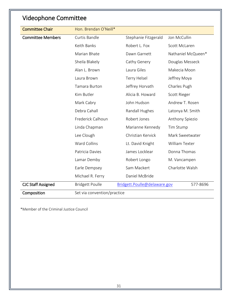| <b>Videophone Committee</b> |                             |                              |                    |
|-----------------------------|-----------------------------|------------------------------|--------------------|
| <b>Committee Chair</b>      | Hon. Brendan O'Neill*       |                              |                    |
| <b>Committee Members</b>    | Curtis Bandle               | Stephanie Fitzgerald         | Jon McCullin       |
|                             | Keith Banks                 | Robert L. Fox                | Scott McLaren      |
|                             | Marian Bhate                | Dawn Garnett                 | Nathaniel McQueen* |
|                             | Sheila Blakely              | Cathy Genery                 | Douglas Messeck    |
|                             | Alan L. Brown               | Laura Giles                  | Makecia Moon       |
|                             | Laura Brown                 | Terry Helsel                 | Jeffrey Moya       |
|                             | Tamara Burton               | Jeffrey Horvath              | Charles Pugh       |
|                             | Kim Butler                  | Alicia B. Howard             | Scott Rieger       |
|                             | Mark Cabry                  | John Hudson                  | Andrew T. Rosen    |
|                             | Debra Cahall                | Randall Hughes               | Latonya M. Smith   |
|                             | Frederick Calhoun           | Robert Jones                 | Anthony Spiezio    |
|                             | Linda Chapman               | Marianne Kennedy             | Tim Stump          |
|                             | Lee Clough                  | Christian Kervick            | Mark Sweetwater    |
|                             | <b>Ward Collins</b>         | Lt. David Knight             | William Texter     |
|                             | Patricia Davies             | James Locklear               | Donna Thomas       |
|                             | Lamar Demby                 | Robert Longo                 | M. Vancampen       |
|                             | Earle Dempsey               | Sam Mackert                  | Charlotte Walsh    |
|                             | Michael R. Ferry            | Daniel McBride               |                    |
| <b>CJC Staff Assigned</b>   | <b>Bridgett Poulle</b>      | Bridgett.Poulle@delaware.gov | 577-8696           |
| Composition                 | Set via convention/practice |                              |                    |